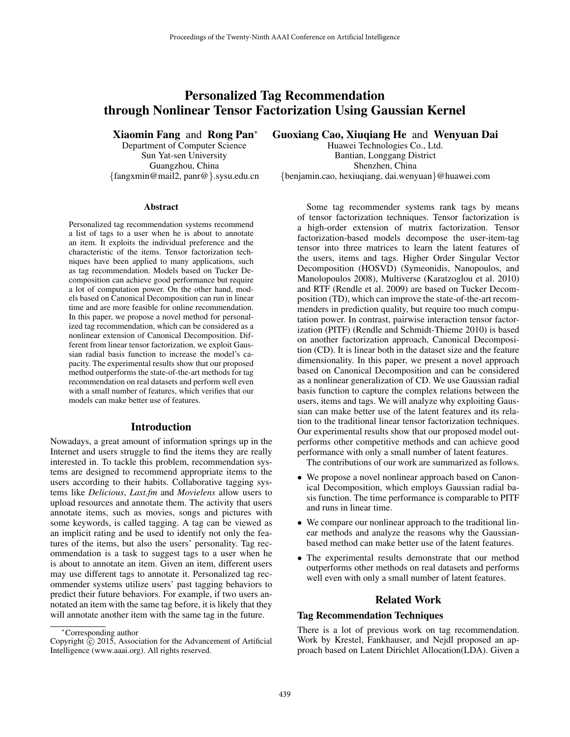# Personalized Tag Recommendation through Nonlinear Tensor Factorization Using Gaussian Kernel

Xiaomin Fang and Rong Pan<sup>∗</sup>

Department of Computer Science Sun Yat-sen University Guangzhou, China {fangxmin@mail2, panr@}.sysu.edu.cn

#### Abstract

Personalized tag recommendation systems recommend a list of tags to a user when he is about to annotate an item. It exploits the individual preference and the characteristic of the items. Tensor factorization techniques have been applied to many applications, such as tag recommendation. Models based on Tucker Decomposition can achieve good performance but require a lot of computation power. On the other hand, models based on Canonical Decomposition can run in linear time and are more feasible for online recommendation. In this paper, we propose a novel method for personalized tag recommendation, which can be considered as a nonlinear extension of Canonical Decomposition. Different from linear tensor factorization, we exploit Gaussian radial basis function to increase the model's capacity. The experimental results show that our proposed method outperforms the state-of-the-art methods for tag recommendation on real datasets and perform well even with a small number of features, which verifies that our models can make better use of features.

#### Introduction

Nowadays, a great amount of information springs up in the Internet and users struggle to find the items they are really interested in. To tackle this problem, recommendation systems are designed to recommend appropriate items to the users according to their habits. Collaborative tagging systems like *Delicious*, *Last.fm* and *Movielens* allow users to upload resources and annotate them. The activity that users annotate items, such as movies, songs and pictures with some keywords, is called tagging. A tag can be viewed as an implicit rating and be used to identify not only the features of the items, but also the users' personality. Tag recommendation is a task to suggest tags to a user when he is about to annotate an item. Given an item, different users may use different tags to annotate it. Personalized tag recommender systems utilize users' past tagging behaviors to predict their future behaviors. For example, if two users annotated an item with the same tag before, it is likely that they will annotate another item with the same tag in the future.

Guoxiang Cao, Xiuqiang He and Wenyuan Dai

Huawei Technologies Co., Ltd. Bantian, Longgang District Shenzhen, China {benjamin.cao, hexiuqiang, dai.wenyuan}@huawei.com

Some tag recommender systems rank tags by means of tensor factorization techniques. Tensor factorization is a high-order extension of matrix factorization. Tensor factorization-based models decompose the user-item-tag tensor into three matrices to learn the latent features of the users, items and tags. Higher Order Singular Vector Decomposition (HOSVD) (Symeonidis, Nanopoulos, and Manolopoulos 2008), Multiverse (Karatzoglou et al. 2010) and RTF (Rendle et al. 2009) are based on Tucker Decomposition (TD), which can improve the state-of-the-art recommenders in prediction quality, but require too much computation power. In contrast, pairwise interaction tensor factorization (PITF) (Rendle and Schmidt-Thieme 2010) is based on another factorization approach, Canonical Decomposition (CD). It is linear both in the dataset size and the feature dimensionality. In this paper, we present a novel approach based on Canonical Decomposition and can be considered as a nonlinear generalization of CD. We use Gaussian radial basis function to capture the complex relations between the users, items and tags. We will analyze why exploiting Gaussian can make better use of the latent features and its relation to the traditional linear tensor factorization techniques. Our experimental results show that our proposed model outperforms other competitive methods and can achieve good performance with only a small number of latent features.

The contributions of our work are summarized as follows.

- We propose a novel nonlinear approach based on Canonical Decomposition, which employs Gaussian radial basis function. The time performance is comparable to PITF and runs in linear time.
- We compare our nonlinear approach to the traditional linear methods and analyze the reasons why the Gaussianbased method can make better use of the latent features.
- The experimental results demonstrate that our method outperforms other methods on real datasets and performs well even with only a small number of latent features.

#### Related Work

#### Tag Recommendation Techniques

There is a lot of previous work on tag recommendation. Work by Krestel, Fankhauser, and Nejdl proposed an approach based on Latent Dirichlet Allocation(LDA). Given a

<sup>∗</sup>Corresponding author

Copyright  $\hat{C}$  2015, Association for the Advancement of Artificial Intelligence (www.aaai.org). All rights reserved.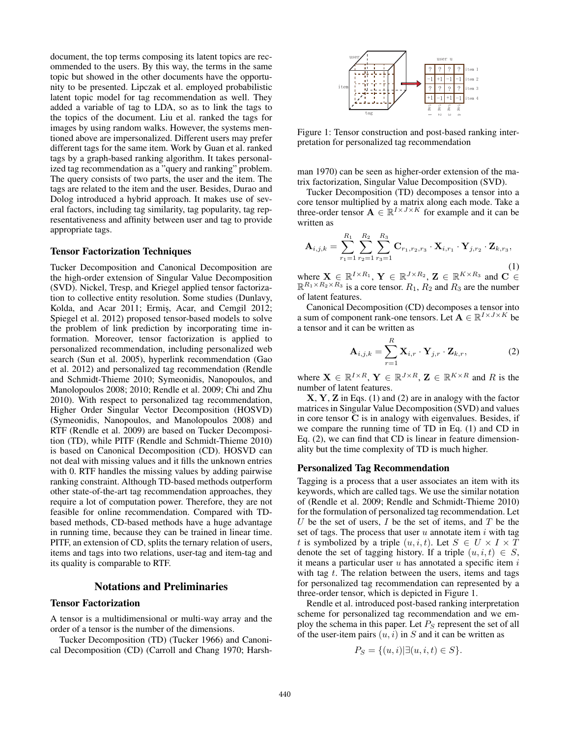document, the top terms composing its latent topics are recommended to the users. By this way, the terms in the same topic but showed in the other documents have the opportunity to be presented. Lipczak et al. employed probabilistic latent topic model for tag recommendation as well. They added a variable of tag to LDA, so as to link the tags to the topics of the document. Liu et al. ranked the tags for images by using random walks. However, the systems mentioned above are impersonalized. Different users may prefer different tags for the same item. Work by Guan et al. ranked tags by a graph-based ranking algorithm. It takes personalized tag recommendation as a "query and ranking" problem. The query consists of two parts, the user and the item. The tags are related to the item and the user. Besides, Durao and Dolog introduced a hybrid approach. It makes use of several factors, including tag similarity, tag popularity, tag representativeness and affinity between user and tag to provide appropriate tags.

## Tensor Factorization Techniques

Tucker Decomposition and Canonical Decomposition are the high-order extension of Singular Value Decomposition (SVD). Nickel, Tresp, and Kriegel applied tensor factorization to collective entity resolution. Some studies (Dunlavy, Kolda, and Acar 2011; Ermis, Acar, and Cemgil 2012; Spiegel et al. 2012) proposed tensor-based models to solve the problem of link prediction by incorporating time information. Moreover, tensor factorization is applied to personalized recommendation, including personalized web search (Sun et al. 2005), hyperlink recommendation (Gao et al. 2012) and personalized tag recommendation (Rendle and Schmidt-Thieme 2010; Symeonidis, Nanopoulos, and Manolopoulos 2008; 2010; Rendle et al. 2009; Chi and Zhu 2010). With respect to personalized tag recommendation, Higher Order Singular Vector Decomposition (HOSVD) (Symeonidis, Nanopoulos, and Manolopoulos 2008) and RTF (Rendle et al. 2009) are based on Tucker Decomposition (TD), while PITF (Rendle and Schmidt-Thieme 2010) is based on Canonical Decomposition (CD). HOSVD can not deal with missing values and it fills the unknown entries with 0. RTF handles the missing values by adding pairwise ranking constraint. Although TD-based methods outperform other state-of-the-art tag recommendation approaches, they require a lot of computation power. Therefore, they are not feasible for online recommendation. Compared with TDbased methods, CD-based methods have a huge advantage in running time, because they can be trained in linear time. PITF, an extension of CD, splits the ternary relation of users, items and tags into two relations, user-tag and item-tag and its quality is comparable to RTF.

## Notations and Preliminaries

## Tensor Factorization

A tensor is a multidimensional or multi-way array and the order of a tensor is the number of the dimensions.

Tucker Decomposition (TD) (Tucker 1966) and Canonical Decomposition (CD) (Carroll and Chang 1970; Harsh-



Figure 1: Tensor construction and post-based ranking interpretation for personalized tag recommendation

man 1970) can be seen as higher-order extension of the matrix factorization, Singular Value Decomposition (SVD).

Tucker Decomposition (TD) decomposes a tensor into a core tensor multiplied by a matrix along each mode. Take a three-order tensor  $\mathbf{A} \in \mathbb{R}^{I \times J \times K}$  for example and it can be written as

$$
\mathbf{A}_{i,j,k} = \sum_{r_1=1}^{R_1} \sum_{r_2=1}^{R_2} \sum_{r_3=1}^{R_3} \mathbf{C}_{r_1,r_2,r_3} \cdot \mathbf{X}_{i,r_1} \cdot \mathbf{Y}_{j,r_2} \cdot \mathbf{Z}_{k,r_3},
$$
\n(1)

where  $\mathbf{X} \in \mathbb{R}^{I \times R_1}$ ,  $\mathbf{Y} \in \mathbb{R}^{J \times R_2}$ ,  $\mathbf{Z} \in \mathbb{R}^{K \times R_3}$  and  $\mathbf{C} \in$  $\mathbb{R}^{R_1 \times R_2 \times R_3}$  is a core tensor.  $R_1, R_2$  and  $R_3$  are the number of latent features.

Canonical Decomposition (CD) decomposes a tensor into a sum of component rank-one tensors. Let  $A \in \mathbb{R}^{I \times J \times K}$  be a tensor and it can be written as

$$
\mathbf{A}_{i,j,k} = \sum_{r=1}^{R} \mathbf{X}_{i,r} \cdot \mathbf{Y}_{j,r} \cdot \mathbf{Z}_{k,r},
$$
 (2)

where  $\mathbf{X} \in \mathbb{R}^{I \times R}$ ,  $\mathbf{Y} \in \mathbb{R}^{J \times R}$ ,  $\mathbf{Z} \in \mathbb{R}^{K \times R}$  and R is the number of latent features.

X, Y, Z in Eqs. (1) and (2) are in analogy with the factor matrices in Singular Value Decomposition (SVD) and values in core tensor C is in analogy with eigenvalues. Besides, if we compare the running time of TD in Eq. (1) and CD in Eq. (2), we can find that CD is linear in feature dimensionality but the time complexity of TD is much higher.

#### Personalized Tag Recommendation

Tagging is a process that a user associates an item with its keywords, which are called tags. We use the similar notation of (Rendle et al. 2009; Rendle and Schmidt-Thieme 2010) for the formulation of personalized tag recommendation. Let U be the set of users,  $I$  be the set of items, and  $T$  be the set of tags. The process that user  $u$  annotate item  $i$  with tag t is symbolized by a triple  $(u, i, t)$ . Let  $S \in U \times I \times T$ denote the set of tagging history. If a triple  $(u, i, t) \in S$ , it means a particular user  $u$  has annotated a specific item  $i$ with tag  $t$ . The relation between the users, items and tags for personalized tag recommendation can represented by a three-order tensor, which is depicted in Figure 1.

Rendle et al. introduced post-based ranking interpretation scheme for personalized tag recommendation and we employ the schema in this paper. Let  $P<sub>S</sub>$  represent the set of all of the user-item pairs  $(u, i)$  in S and it can be written as

$$
P_S = \{(u,i)|\exists (u,i,t) \in S\}.
$$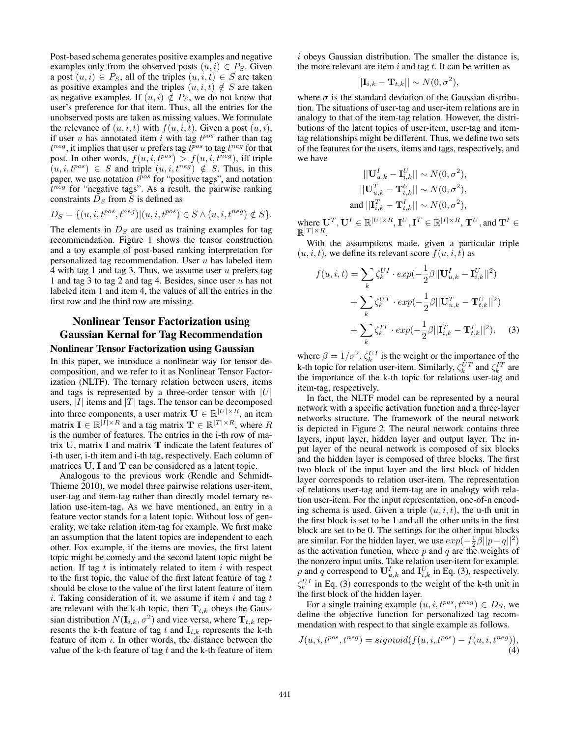Post-based schema generates positive examples and negative examples only from the observed posts  $(u, i) \in P_S$ . Given a post  $(u, i) \in P_S$ , all of the triples  $(u, i, t) \in S$  are taken as positive examples and the triples  $(u, i, t) \notin S$  are taken as negative examples. If  $(u, i) \notin P_S$ , we do not know that user's preference for that item. Thus, all the entries for the unobserved posts are taken as missing values. We formulate the relevance of  $(u, i, t)$  with  $f(u, i, t)$ . Given a post  $(u, i)$ , if user  $u$  has annotated item  $i$  with tag  $t^{pos}$  rather than tag  $t^{neg}$ , it implies that user u prefers tag  $t^{pos}$  to tag  $t^{neg}$  for that post. In other words,  $f(u, i, t^{pos}) > f(u, i, t^{neg})$ , iff triple  $(u, i, t^{pos}) \in S$  and triple  $(u, i, t^{neg}) \notin S$ . Thus, in this paper, we use notation  $t^{pos}$  for "positive tags", and notation  $t^{neg}$  for "negative tags". As a result, the pairwise ranking constraints  $D_S$  from S is defined as

$$
D_S = \{ (u, i, t^{pos}, t^{neg}) | (u, i, t^{pos}) \in S \land (u, i, t^{neg}) \notin S \}.
$$

The elements in  $D<sub>S</sub>$  are used as training examples for tag recommendation. Figure 1 shows the tensor construction and a toy example of post-based ranking interpretation for personalized tag recommendation. User  $u$  has labeled item 4 with tag 1 and tag 3. Thus, we assume user  $u$  prefers tag 1 and tag 3 to tag 2 and tag 4. Besides, since user  $u$  has not labeled item 1 and item 4, the values of all the entries in the first row and the third row are missing.

## Nonlinear Tensor Factorization using Gaussian Kernal for Tag Recommendation Nonlinear Tensor Factorization using Gaussian

In this paper, we introduce a nonlinear way for tensor decomposition, and we refer to it as Nonlinear Tensor Factorization (NLTF). The ternary relation between users, items and tags is represented by a three-order tensor with  $|U|$ users,  $|I|$  items and  $|T|$  tags. The tensor can be decomposed into three components, a user matrix  $\mathbf{U} \in \mathbb{R}^{|U| \times R}$ , an item matrix  $\mathbf{I} \in \mathbb{R}^{|\bar{I}| \times R}$  and a tag matrix  $\mathbf{T} \in \mathbb{R}^{|\bar{I}| \times R}$ , where R is the number of features. The entries in the i-th row of matrix U, matrix I and matrix T indicate the latent features of i-th user, i-th item and i-th tag, respectively. Each column of matrices U, I and T can be considered as a latent topic.

Analogous to the previous work (Rendle and Schmidt-Thieme 2010), we model three pairwise relations user-item, user-tag and item-tag rather than directly model ternary relation use-item-tag. As we have mentioned, an entry in a feature vector stands for a latent topic. Without loss of generality, we take relation item-tag for example. We first make an assumption that the latent topics are independent to each other. Fox example, if the items are movies, the first latent topic might be comedy and the second latent topic might be action. If tag  $t$  is intimately related to item  $i$  with respect to the first topic, the value of the first latent feature of tag  $t$ should be close to the value of the first latent feature of item i. Taking consideration of it, we assume if item i and tag  $t$ are relevant with the k-th topic, then  $T_{t,k}$  obeys the Gaussian distribution  $N(\mathbf{I}_{i,k}, \sigma^2)$  and vice versa, where  $\mathbf{T}_{t,k}$  represents the k-th feature of tag t and  $\mathbf{I}_{i,k}$  represents the k-th feature of item i. In other words, the distance between the value of the k-th feature of tag  $t$  and the k-th feature of item  $i$  obeys Gaussian distribution. The smaller the distance is, the more relevant are item  $i$  and tag  $t$ . It can be written as

$$
||\mathbf{I}_{i,k} - \mathbf{T}_{t,k}|| \sim N(0, \sigma^2),
$$

where  $\sigma$  is the standard deviation of the Gaussian distribution. The situations of user-tag and user-item relations are in analogy to that of the item-tag relation. However, the distributions of the latent topics of user-item, user-tag and itemtag relationships might be different. Thus, we define two sets of the features for the users, items and tags, respectively, and we have

$$
\begin{aligned} ||\mathbf{U}_{u,k}^I - \mathbf{I}_{i,k}^U|| &\sim N(0,\sigma^2),\\ ||\mathbf{U}_{u,k}^T - \mathbf{T}_{t,k}^U|| &\sim N(0,\sigma^2),\\ \text{and } ||\mathbf{I}_{i,k}^T - \mathbf{T}_{t,k}^I|| &\sim N(0,\sigma^2), \end{aligned}
$$

where  $\mathbf{U}^T, \mathbf{U}^I \in \mathbb{R}^{|U| \times R}, \mathbf{I}^U, \mathbf{I}^T \in \mathbb{R}^{|I| \times R}, \mathbf{T}^U, \text{and } \mathbf{T}^I \in$  $\mathbb{R}^{|T|\times R}$ .

With the assumptions made, given a particular triple  $(u, i, t)$ , we define its relevant score  $f(u, i, t)$  as

$$
f(u, i, t) = \sum_{k} \zeta_{k}^{UI} \cdot exp(-\frac{1}{2}\beta ||\mathbf{U}_{u,k}^{I} - \mathbf{I}_{i,k}^{U}||^{2})
$$

$$
+ \sum_{k} \zeta_{k}^{UT} \cdot exp(-\frac{1}{2}\beta ||\mathbf{U}_{u,k}^{T} - \mathbf{T}_{t,k}^{U}||^{2})
$$

$$
+ \sum_{k} \zeta_{k}^{IT} \cdot exp(-\frac{1}{2}\beta ||\mathbf{I}_{i,k}^{T} - \mathbf{T}_{t,k}^{I}||^{2}), \quad (3)
$$

where  $\beta = 1/\sigma^2$ .  $\zeta_k^{UI}$  is the weight or the importance of the k-th topic for relation user-item. Similarly,  $\zeta_k^{UT}$  and  $\zeta_k^{IT}$  are the importance of the k-th topic for relations user-tag and item-tag, respectively.

In fact, the NLTF model can be represented by a neural network with a specific activation function and a three-layer networks structure. The framework of the neural network is depicted in Figure 2. The neural network contains three layers, input layer, hidden layer and output layer. The input layer of the neural network is composed of six blocks and the hidden layer is composed of three blocks. The first two block of the input layer and the first block of hidden layer corresponds to relation user-item. The representation of relations user-tag and item-tag are in analogy with relation user-item. For the input representation, one-of-n encoding schema is used. Given a triple  $(u, i, t)$ , the u-th unit in the first block is set to be 1 and all the other units in the first block are set to be 0. The settings for the other input blocks are similar. For the hidden layer, we use  $exp(-\frac{1}{2}\beta||p-q||^2)$ as the activation function, where  $p$  and  $q$  are the weights of the nonzero input units. Take relation user-item for example. p and q correspond to  $\mathbf{U}_{u,k}^I$  and  $\mathbf{I}_{i,k}^U$  in Eq. (3), respectively.  $\zeta_k^{UI}$  in Eq. (3) corresponds to the weight of the k-th unit in the first block of the hidden layer.

For a single training example  $(u, i, t^{pos}, t^{neg}) \in D_S$ , we define the objective function for personalized tag recommendation with respect to that single example as follows.

$$
J(u,i,t^{pos},t^{neg}) = sigmoid(f(u,i,t^{pos}) - f(u,i,t^{neg})),
$$
  
(4)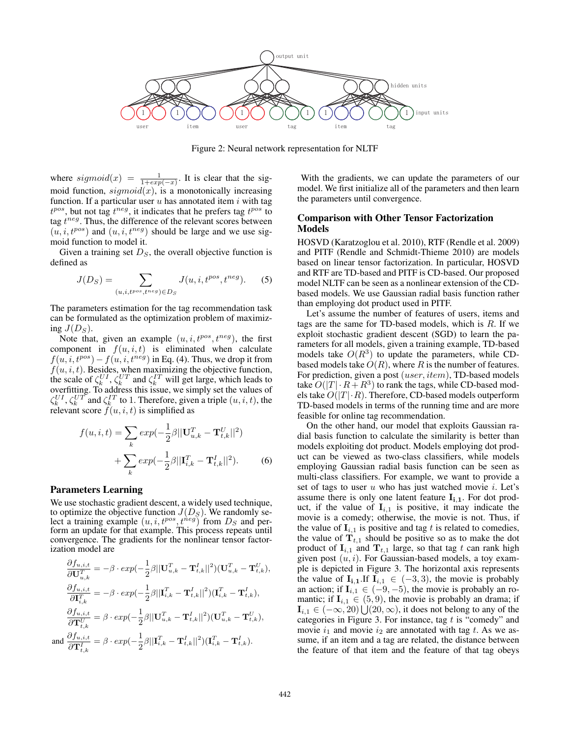

Figure 2: Neural network representation for NLTF

where  $sigmoid(x) = \frac{1}{1+exp(-x)}$ . It is clear that the sigmoid function,  $sigmoid(x)$ , is a monotonically increasing function. If a particular user  $u$  has annotated item  $i$  with tag  $t^{pos}$ , but not tag  $t^{neg}$ , it indicates that he prefers tag  $t^{pos}$  to tag  $t^{neg}$ . Thus, the difference of the relevant scores between  $(u, i, t^{pos})$  and  $(u, i, t^{neg})$  should be large and we use sigmoid function to model it.

Given a training set  $D<sub>S</sub>$ , the overall objective function is defined as

$$
J(D_S) = \sum_{(u,i,t^{pos},t^{neg}) \in D_S} J(u,i,t^{pos},t^{neg}).
$$
 (5)

The parameters estimation for the tag recommendation task can be formulated as the optimization problem of maximizing  $J(D<sub>S</sub>)$ .

Note that, given an example  $(u, i, t^{pos}, t^{neg})$ , the first component in  $f(u, i, t)$  is eliminated when calculate  $f(u, i, t^{pos}) - f(u, i, t^{neg})$  in Eq. (4). Thus, we drop it from  $f(u, i, t)$ . Besides, when maximizing the objective function, the scale of  $\zeta_k^{UI}, \zeta_k^{UT}$  and  $\zeta_k^{IT}$  will get large, which leads to overfitting. To address this issue, we simply set the values of  $\zeta_k^{UI}, \zeta_k^{UT}$  and  $\zeta_k^{IT}$  to 1. Therefore, given a triple  $(u, i, t)$ , the relevant score  $f(u, i, t)$  is simplified as

$$
f(u, i, t) = \sum_{k} exp(-\frac{1}{2}\beta ||\mathbf{U}_{u,k}^{T} - \mathbf{T}_{t,k}^{U}||^{2})
$$

$$
+ \sum_{k} exp(-\frac{1}{2}\beta ||\mathbf{I}_{i,k}^{T} - \mathbf{T}_{t,k}^{I}||^{2}). \tag{6}
$$

#### Parameters Learning

We use stochastic gradient descent, a widely used technique, to optimize the objective function  $J(D<sub>S</sub>)$ . We randomly select a training example  $(u, i, t^{pos}, t^{neg})$  from  $D_s$  and perform an update for that example. This process repeats until convergence. The gradients for the nonlinear tensor factorization model are

$$
\frac{\partial f_{u,i,t}}{\partial \mathbf{U}_{u,k}^T} = -\beta \cdot exp(-\frac{1}{2}\beta ||\mathbf{U}_{u,k}^T - \mathbf{T}_{t,k}^I||^2)(\mathbf{U}_{u,k}^T - \mathbf{T}_{t,k}^U),
$$
\n
$$
\frac{\partial f_{u,i,t}}{\partial \mathbf{I}_{i,k}^T} = -\beta \cdot exp(-\frac{1}{2}\beta ||\mathbf{I}_{i,k}^T - \mathbf{T}_{t,k}^I||^2)(\mathbf{I}_{i,k}^T - \mathbf{T}_{t,k}^I),
$$
\n
$$
\frac{\partial f_{u,i,t}}{\partial \mathbf{T}_{t,k}^U} = \beta \cdot exp(-\frac{1}{2}\beta ||\mathbf{U}_{u,k}^T - \mathbf{T}_{t,k}^I||^2)(\mathbf{U}_{u,k}^T - \mathbf{T}_{t,k}^U),
$$
\nand\n
$$
\frac{\partial f_{u,i,t}}{\partial \mathbf{T}_{t,k}^I} = \beta \cdot exp(-\frac{1}{2}\beta ||\mathbf{I}_{i,k}^T - \mathbf{T}_{t,k}^I||^2)(\mathbf{I}_{i,k}^T - \mathbf{T}_{t,k}^I).
$$

With the gradients, we can update the parameters of our model. We first initialize all of the parameters and then learn the parameters until convergence.

## Comparison with Other Tensor Factorization Models

HOSVD (Karatzoglou et al. 2010), RTF (Rendle et al. 2009) and PITF (Rendle and Schmidt-Thieme 2010) are models based on linear tensor factorization. In particular, HOSVD and RTF are TD-based and PITF is CD-based. Our proposed model NLTF can be seen as a nonlinear extension of the CDbased models. We use Gaussian radial basis function rather than employing dot product used in PITF.

Let's assume the number of features of users, items and tags are the same for TD-based models, which is  $R$ . If we exploit stochastic gradient descent (SGD) to learn the parameters for all models, given a training example, TD-based models take  $O(R^3)$  to update the parameters, while CDbased models take  $O(R)$ , where R is the number of features. For prediction, given a post (user, item), TD-based models take  $O(|T| \cdot R + R^3)$  to rank the tags, while CD-based models take  $O(|T| \cdot R)$ . Therefore, CD-based models outperform TD-based models in terms of the running time and are more feasible for online tag recommendation.

On the other hand, our model that exploits Gaussian radial basis function to calculate the similarity is better than models exploiting dot product. Models employing dot product can be viewed as two-class classifiers, while models employing Gaussian radial basis function can be seen as multi-class classifiers. For example, we want to provide a set of tags to user  $u$  who has just watched movie  $i$ . Let's assume there is only one latent feature  $I_{i,1}$ . For dot product, if the value of  $I_{i,1}$  is positive, it may indicate the movie is a comedy; otherwise, the movie is not. Thus, if the value of  $I_{i,1}$  is positive and tag t is related to comedies, the value of  $T_{t,1}$  should be positive so as to make the dot product of  $\mathbf{I}_{i,1}$  and  $\mathbf{T}_{t,1}$  large, so that tag t can rank high given post  $(u, i)$ . For Gaussian-based models, a toy example is depicted in Figure 3. The horizontal axis represents the value of  $\mathbf{I}_{i,1}$ . If  $\mathbf{I}_{i,1} \in (-3,3)$ , the movie is probably an action; if  $I_{i,1} \in (-9, -5)$ , the movie is probably an romantic; if  $I_{i,1} \in (5, 9)$ , the movie is probably an drama; if  $\mathbf{I}_{i,1} \in (-\infty, 20) \bigcup (20, \infty)$ , it does not belong to any of the categories in Figure 3. For instance, tag  $t$  is "comedy" and movie  $i_1$  and movie  $i_2$  are annotated with tag t. As we assume, if an item and a tag are related, the distance between the feature of that item and the feature of that tag obeys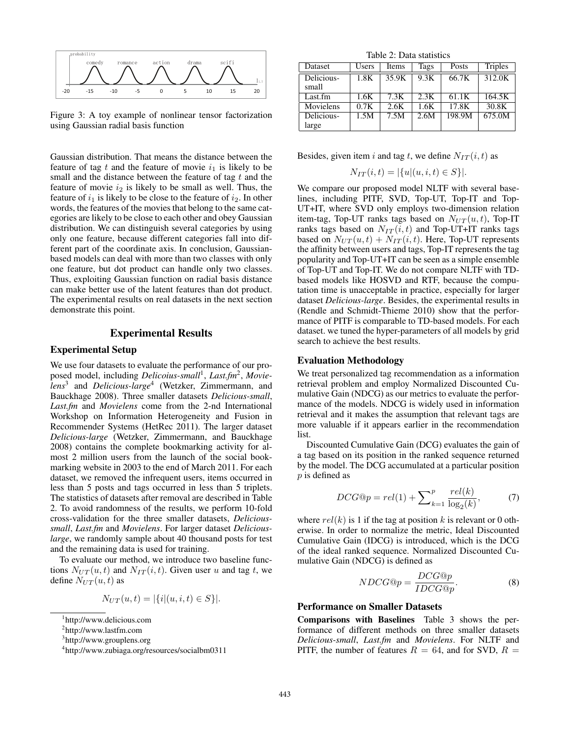

Figure 3: A toy example of nonlinear tensor factorization using Gaussian radial basis function

Gaussian distribution. That means the distance between the feature of tag  $t$  and the feature of movie  $i_1$  is likely to be small and the distance between the feature of tag  $t$  and the feature of movie  $i_2$  is likely to be small as well. Thus, the feature of  $i_1$  is likely to be close to the feature of  $i_2$ . In other words, the features of the movies that belong to the same categories are likely to be close to each other and obey Gaussian distribution. We can distinguish several categories by using only one feature, because different categories fall into different part of the coordinate axis. In conclusion, Gaussianbased models can deal with more than two classes with only one feature, but dot product can handle only two classes. Thus, exploiting Gaussian function on radial basis distance can make better use of the latent features than dot product. The experimental results on real datasets in the next section demonstrate this point.

## Experimental Results

## Experimental Setup

We use four datasets to evaluate the performance of our proposed model, including *Delicoius-small*<sup>1</sup> , *Last.fm*<sup>2</sup> , *Movielens*<sup>3</sup> and *Delicious-large*<sup>4</sup> (Wetzker, Zimmermann, and Bauckhage 2008). Three smaller datasets *Delicious-small*, *Last.fm* and *Movielens* come from the 2-nd International Workshop on Information Heterogeneity and Fusion in Recommender Systems (HetRec 2011). The larger dataset *Delicious-large* (Wetzker, Zimmermann, and Bauckhage 2008) contains the complete bookmarking activity for almost 2 million users from the launch of the social bookmarking website in 2003 to the end of March 2011. For each dataset, we removed the infrequent users, items occurred in less than 5 posts and tags occurred in less than 5 triplets. The statistics of datasets after removal are described in Table 2. To avoid randomness of the results, we perform 10-fold cross-validation for the three smaller datasets, *Delicioussmall*, *Last.fm* and *Movielens*. For larger dataset *Deliciouslarge*, we randomly sample about 40 thousand posts for test and the remaining data is used for training.

To evaluate our method, we introduce two baseline functions  $N_{UT}(u, t)$  and  $N_{IT}(i, t)$ . Given user u and tag t, we define  $N_{UT}(u, t)$  as

$$
N_{UT}(u, t) = |\{i | (u, i, t) \in S\}|.
$$

Table 2: Data statistics

| Dataset    | <b>Users</b> | Items | Tags | Posts  | <b>Triples</b> |
|------------|--------------|-------|------|--------|----------------|
| Delicious- | 1.8K         | 35.9K | 9.3K | 66.7K  | 312.0K         |
| small      |              |       |      |        |                |
| Last.fm    | 1.6K         | 7.3K  | 2.3K | 61.1K  | 164.5K         |
| Movielens  | 0.7K         | 2.6K  | 1.6K | 17.8K  | 30.8K          |
| Delicious- | 1.5M         | 7.5M  | 2.6M | 198.9M | 675.0M         |
| large      |              |       |      |        |                |

Besides, given item i and tag t, we define  $N_{IT}(i, t)$  as

$$
N_{IT}(i,t) = |\{u | (u,i,t) \in S\}|.
$$

We compare our proposed model NLTF with several baselines, including PITF, SVD, Top-UT, Top-IT and Top-UT+IT, where SVD only employs two-dimension relation item-tag, Top-UT ranks tags based on  $N_{UT}(u, t)$ , Top-IT ranks tags based on  $N_{IT}(i, t)$  and Top-UT+IT ranks tags based on  $N_{UT}(u, t) + N_{IT}(i, t)$ . Here, Top-UT represents the affinity between users and tags, Top-IT represents the tag popularity and Top-UT+IT can be seen as a simple ensemble of Top-UT and Top-IT. We do not compare NLTF with TDbased models like HOSVD and RTF, because the computation time is unacceptable in practice, especially for larger dataset *Delicious-large*. Besides, the experimental results in (Rendle and Schmidt-Thieme 2010) show that the performance of PITF is comparable to TD-based models. For each dataset. we tuned the hyper-parameters of all models by grid search to achieve the best results.

#### Evaluation Methodology

We treat personalized tag recommendation as a information retrieval problem and employ Normalized Discounted Cumulative Gain (NDCG) as our metrics to evaluate the performance of the models. NDCG is widely used in information retrieval and it makes the assumption that relevant tags are more valuable if it appears earlier in the recommendation list.

Discounted Cumulative Gain (DCG) evaluates the gain of a tag based on its position in the ranked sequence returned by the model. The DCG accumulated at a particular position p is defined as

$$
DCG@p = rel(1) + \sum_{k=1}^{p} \frac{rel(k)}{\log_2(k)},\tag{7}
$$

where  $rel(k)$  is 1 if the tag at position k is relevant or 0 otherwise. In order to normalize the metric, Ideal Discounted Cumulative Gain (IDCG) is introduced, which is the DCG of the ideal ranked sequence. Normalized Discounted Cumulative Gain (NDCG) is defined as

$$
NDCG@p = \frac{DCG@p}{IDCG@p}.\tag{8}
$$

## Performance on Smaller Datasets

Comparisons with Baselines Table 3 shows the performance of different methods on three smaller datasets *Delicious-small*, *Last.fm* and *Movielens*. For NLTF and PITF, the number of features  $R = 64$ , and for SVD,  $R =$ 

<sup>1</sup> http://www.delicious.com

<sup>2</sup> http://www.lastfm.com

<sup>3</sup> http://www.grouplens.org

<sup>4</sup> http://www.zubiaga.org/resources/socialbm0311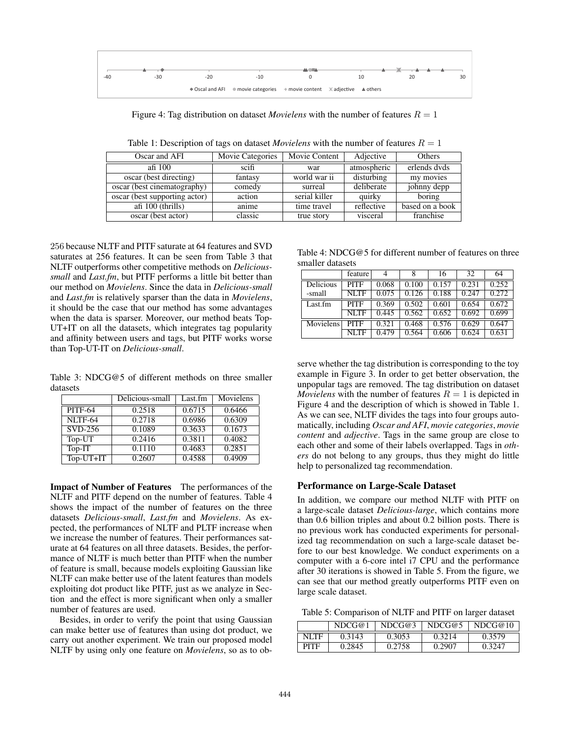

Figure 4: Tag distribution on dataset *Movielens* with the number of features  $R = 1$ 

| Oscar and AFI                 | <b>Movie Categories</b> | Movie Content | Adjective   | Others          |
|-------------------------------|-------------------------|---------------|-------------|-----------------|
| afi 100                       | scifi                   | war           | atmospheric | erlends dyds    |
| oscar (best directing)        | fantasy                 | world war ii  | disturbing  | my movies       |
| oscar (best cinematography)   | comedy                  | surreal       | deliberate  | johnny depp     |
| oscar (best supporting actor) | action                  | serial killer | quirky      | boring          |
| afi $100$ (thrills)           | anime                   | time travel   | reflective  | based on a book |
| oscar (best actor)            | classic                 | true story    | visceral    | franchise       |

Table 1: Description of tags on dataset *Movielens* with the number of features  $R = 1$ 

256 because NLTF and PITF saturate at 64 features and SVD saturates at 256 features. It can be seen from Table 3 that NLTF outperforms other competitive methods on *Delicioussmall* and *Last.fm*, but PITF performs a little bit better than our method on *Movielens*. Since the data in *Delicious-small* and *Last.fm* is relatively sparser than the data in *Movielens*, it should be the case that our method has some advantages when the data is sparser. Moreover, our method beats Top-UT+IT on all the datasets, which integrates tag popularity and affinity between users and tags, but PITF works worse than Top-UT-IT on *Delicious-small*.

Table 3: NDCG@5 of different methods on three smaller datasets

|                | Delicious-small | Last.fm | Movielens |
|----------------|-----------------|---------|-----------|
| <b>PITF-64</b> | 0.2518          | 0.6715  | 0.6466    |
| NLTF-64        | 0.2718          | 0.6986  | 0.6309    |
| SVD-256        | 0.1089          | 0.3633  | 0.1673    |
| Top-UT         | 0.2416          | 0.3811  | 0.4082    |
| Top-IT         | 0.1110          | 0.4683  | 0.2851    |
| Top-UT+IT      | 0.2607          | 0.4588  | 0.4909    |

Impact of Number of Features The performances of the NLTF and PITF depend on the number of features. Table 4 shows the impact of the number of features on the three datasets *Delicious-small*, *Last.fm* and *Movielens*. As expected, the performances of NLTF and PLTF increase when we increase the number of features. Their performances saturate at 64 features on all three datasets. Besides, the performance of NLTF is much better than PITF when the number of feature is small, because models exploiting Gaussian like NLTF can make better use of the latent features than models exploiting dot product like PITF, just as we analyze in Section and the effect is more significant when only a smaller number of features are used.

Besides, in order to verify the point that using Gaussian can make better use of features than using dot product, we carry out another experiment. We train our proposed model NLTF by using only one feature on *Movielens*, so as to ob-

Table 4: NDCG@5 for different number of features on three smaller datasets

|           | feature     | 4     |       | 16    | 32    | 64    |
|-----------|-------------|-------|-------|-------|-------|-------|
| Delicious | <b>PITF</b> | 0.068 | 0.100 | 0.157 | 0.231 | 0.252 |
| -small    | <b>NLTF</b> | 0.075 | 0.126 | 0.188 | 0.247 | 0.272 |
| Last.fm   | <b>PITF</b> | 0.369 | 0.502 | 0.601 | 0.654 | 0.672 |
|           | <b>NLTF</b> | 0.445 | 0.562 | 0.652 | 0.692 | 0.699 |
| Movielens | <b>PITF</b> | 0.321 | 0.468 | 0.576 | 0.629 | 0.647 |
|           | NI TF       | 0.479 | 0.564 | 0.606 | 0.624 | 0.63  |

serve whether the tag distribution is corresponding to the toy example in Figure 3. In order to get better observation, the unpopular tags are removed. The tag distribution on dataset *Movielens* with the number of features  $R = 1$  is depicted in Figure 4 and the description of which is showed in Table 1. As we can see, NLTF divides the tags into four groups automatically, including *Oscar and AFI*, *movie categories*, *movie content* and *adjective*. Tags in the same group are close to each other and some of their labels overlapped. Tags in *others* do not belong to any groups, thus they might do little help to personalized tag recommendation.

#### Performance on Large-Scale Dataset

In addition, we compare our method NLTF with PITF on a large-scale dataset *Delicious-large*, which contains more than 0.6 billion triples and about 0.2 billion posts. There is no previous work has conducted experiments for personalized tag recommendation on such a large-scale dataset before to our best knowledge. We conduct experiments on a computer with a 6-core intel i7 CPU and the performance after 30 iterations is showed in Table 5. From the figure, we can see that our method greatly outperforms PITF even on large scale dataset.

Table 5: Comparison of NLTF and PITF on larger dataset

|       | NDCG@1 | NDCG@3 | NDCG@5 | NDCG@10 |
|-------|--------|--------|--------|---------|
| NI TF | 0.3143 | 0.3053 | 0.3214 | 0.3579  |
| PITF  | 0.2845 | 0.2758 | 0.2907 | 0.3247  |